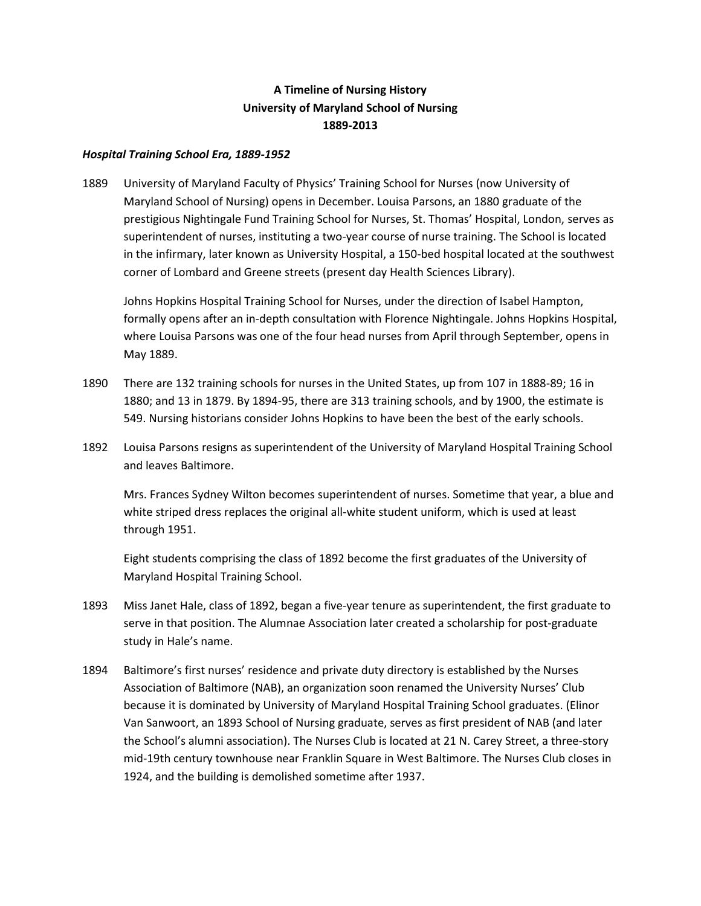## **A Timeline of Nursing History University of Maryland School of Nursing 1889-2013**

## *Hospital Training School Era, 1889-1952*

1889 University of Maryland Faculty of Physics' Training School for Nurses (now University of Maryland School of Nursing) opens in December. Louisa Parsons, an 1880 graduate of the prestigious Nightingale Fund Training School for Nurses, St. Thomas' Hospital, London, serves as superintendent of nurses, instituting a two-year course of nurse training. The School is located in the infirmary, later known as University Hospital, a 150‐bed hospital located at the southwest corner of Lombard and Greene streets (present day Health Sciences Library).

Johns Hopkins Hospital Training School for Nurses, under the direction of Isabel Hampton, formally opens after an in-depth consultation with Florence Nightingale. Johns Hopkins Hospital, where Louisa Parsons was one of the four head nurses from April through September, opens in May 1889.

- 1890 There are 132 training schools for nurses in the United States, up from 107 in 1888‐89; 16 in 1880; and 13 in 1879. By 1894‐95, there are 313 training schools, and by 1900, the estimate is 549. Nursing historians consider Johns Hopkins to have been the best of the early schools.
- 1892 Louisa Parsons resigns as superintendent of the University of Maryland Hospital Training School and leaves Baltimore.

Mrs. Frances Sydney Wilton becomes superintendent of nurses. Sometime that year, a blue and white striped dress replaces the original all-white student uniform, which is used at least through 1951.

Eight students comprising the class of 1892 become the first graduates of the University of Maryland Hospital Training School.

- 1893 Miss Janet Hale, class of 1892, began a five-year tenure as superintendent, the first graduate to serve in that position. The Alumnae Association later created a scholarship for post-graduate study in Hale's name.
- 1894 Baltimore's first nurses' residence and private duty directory is established by the Nurses Association of Baltimore (NAB), an organization soon renamed the University Nurses' Club because it is dominated by University of Maryland Hospital Training School graduates. (Elinor Van Sanwoort, an 1893 School of Nursing graduate, serves as first president of NAB (and later the School's alumni association). The Nurses Club is located at 21 N. Carey Street, a three‐story mid‐19th century townhouse near Franklin Square in West Baltimore. The Nurses Club closes in 1924, and the building is demolished sometime after 1937.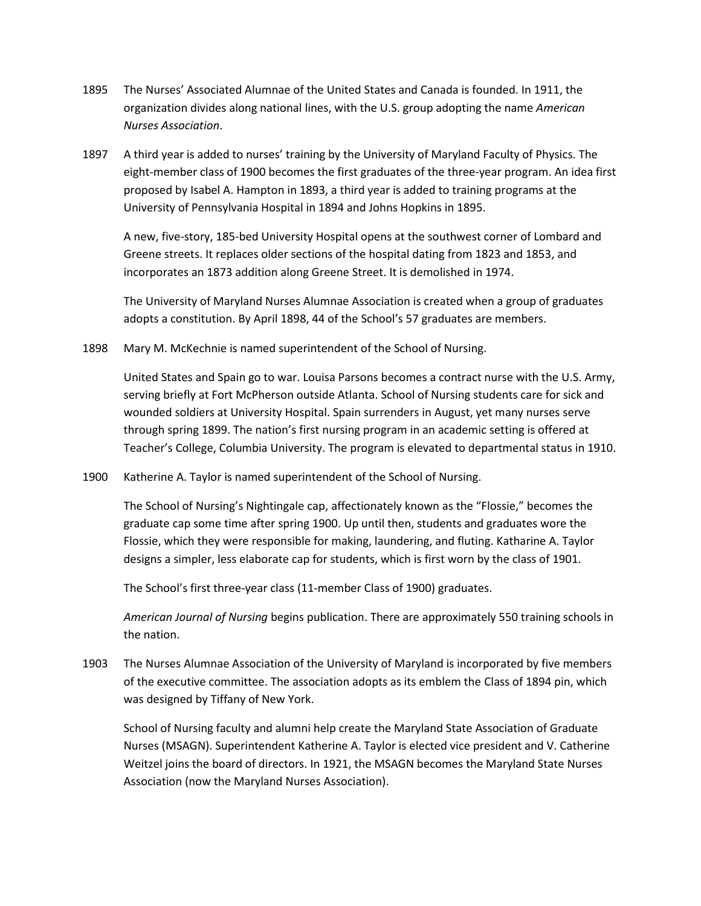- 1895 The Nurses' Associated Alumnae of the United States and Canada is founded. In 1911, the organization divides along national lines, with the U.S. group adopting the name *American Nurses Association*.
- 1897 A third year is added to nurses' training by the University of Maryland Faculty of Physics. The eight-member class of 1900 becomes the first graduates of the three-year program. An idea first proposed by Isabel A. Hampton in 1893, a third year is added to training programs at the University of Pennsylvania Hospital in 1894 and Johns Hopkins in 1895.

A new, five‐story, 185‐bed University Hospital opens at the southwest corner of Lombard and Greene streets. It replaces older sections of the hospital dating from 1823 and 1853, and incorporates an 1873 addition along Greene Street. It is demolished in 1974.

The University of Maryland Nurses Alumnae Association is created when a group of graduates adopts a constitution. By April 1898, 44 of the School's 57 graduates are members.

1898 Mary M. McKechnie is named superintendent of the School of Nursing.

United States and Spain go to war. Louisa Parsons becomes a contract nurse with the U.S. Army, serving briefly at Fort McPherson outside Atlanta. School of Nursing students care for sick and wounded soldiers at University Hospital. Spain surrenders in August, yet many nurses serve through spring 1899. The nation's first nursing program in an academic setting is offered at Teacher's College, Columbia University. The program is elevated to departmental status in 1910.

1900 Katherine A. Taylor is named superintendent of the School of Nursing.

The School of Nursing's Nightingale cap, affectionately known as the "Flossie," becomes the graduate cap some time after spring 1900. Up until then, students and graduates wore the Flossie, which they were responsible for making, laundering, and fluting. Katharine A. Taylor designs a simpler, less elaborate cap for students, which is first worn by the class of 1901.

The School's first three‐year class (11‐member Class of 1900) graduates.

*American Journal of Nursing* begins publication. There are approximately 550 training schools in the nation.

1903 The Nurses Alumnae Association of the University of Maryland is incorporated by five members of the executive committee. The association adopts as its emblem the Class of 1894 pin, which was designed by Tiffany of New York.

School of Nursing faculty and alumni help create the Maryland State Association of Graduate Nurses (MSAGN). Superintendent Katherine A. Taylor is elected vice president and V. Catherine Weitzel joins the board of directors. In 1921, the MSAGN becomes the Maryland State Nurses Association (now the Maryland Nurses Association).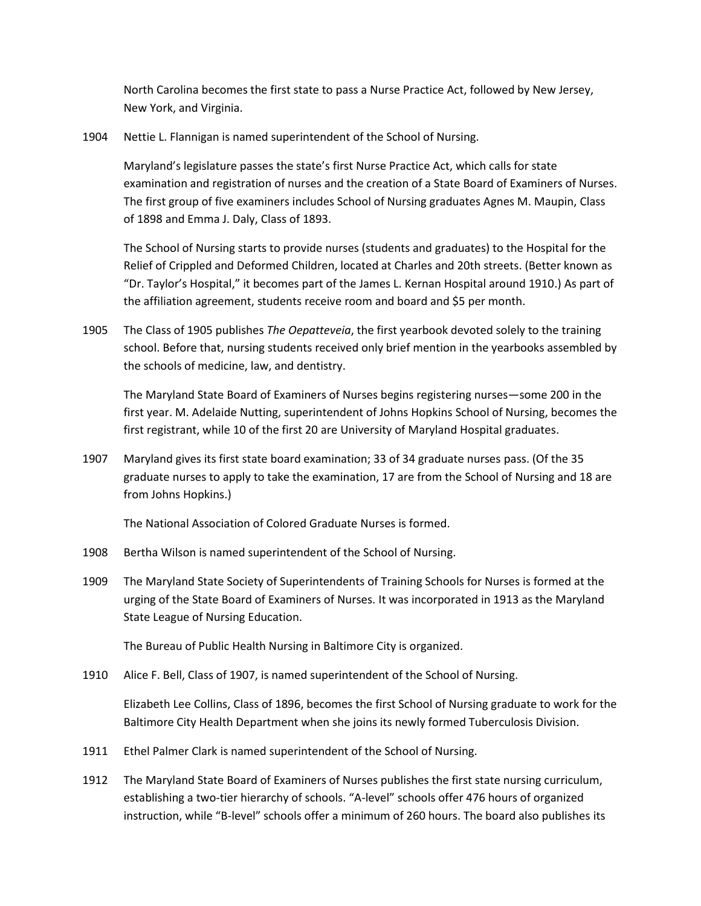North Carolina becomes the first state to pass a Nurse Practice Act, followed by New Jersey, New York, and Virginia.

1904 Nettie L. Flannigan is named superintendent of the School of Nursing.

Maryland's legislature passes the state's first Nurse Practice Act, which calls for state examination and registration of nurses and the creation of a State Board of Examiners of Nurses. The first group of five examiners includes School of Nursing graduates Agnes M. Maupin, Class of 1898 and Emma J. Daly, Class of 1893.

The School of Nursing starts to provide nurses (students and graduates) to the Hospital for the Relief of Crippled and Deformed Children, located at Charles and 20th streets. (Better known as "Dr. Taylor's Hospital," it becomes part of the James L. Kernan Hospital around 1910.) As part of the affiliation agreement, students receive room and board and \$5 per month.

1905 The Class of 1905 publishes *The Oepatteveia*, the first yearbook devoted solely to the training school. Before that, nursing students received only brief mention in the yearbooks assembled by the schools of medicine, law, and dentistry.

The Maryland State Board of Examiners of Nurses begins registering nurses—some 200 in the first year. M. Adelaide Nutting, superintendent of Johns Hopkins School of Nursing, becomes the first registrant, while 10 of the first 20 are University of Maryland Hospital graduates.

1907 Maryland gives its first state board examination; 33 of 34 graduate nurses pass. (Of the 35 graduate nurses to apply to take the examination, 17 are from the School of Nursing and 18 are from Johns Hopkins.)

The National Association of Colored Graduate Nurses is formed.

- 1908 Bertha Wilson is named superintendent of the School of Nursing.
- 1909 The Maryland State Society of Superintendents of Training Schools for Nurses is formed at the urging of the State Board of Examiners of Nurses. It was incorporated in 1913 as the Maryland State League of Nursing Education.

The Bureau of Public Health Nursing in Baltimore City is organized.

1910 Alice F. Bell, Class of 1907, is named superintendent of the School of Nursing.

Elizabeth Lee Collins, Class of 1896, becomes the first School of Nursing graduate to work for the Baltimore City Health Department when she joins its newly formed Tuberculosis Division.

- 1911 Ethel Palmer Clark is named superintendent of the School of Nursing.
- 1912 The Maryland State Board of Examiners of Nurses publishes the first state nursing curriculum, establishing a two‐tier hierarchy of schools. "A-level" schools offer 476 hours of organized instruction, while "B-level" schools offer a minimum of 260 hours. The board also publishes its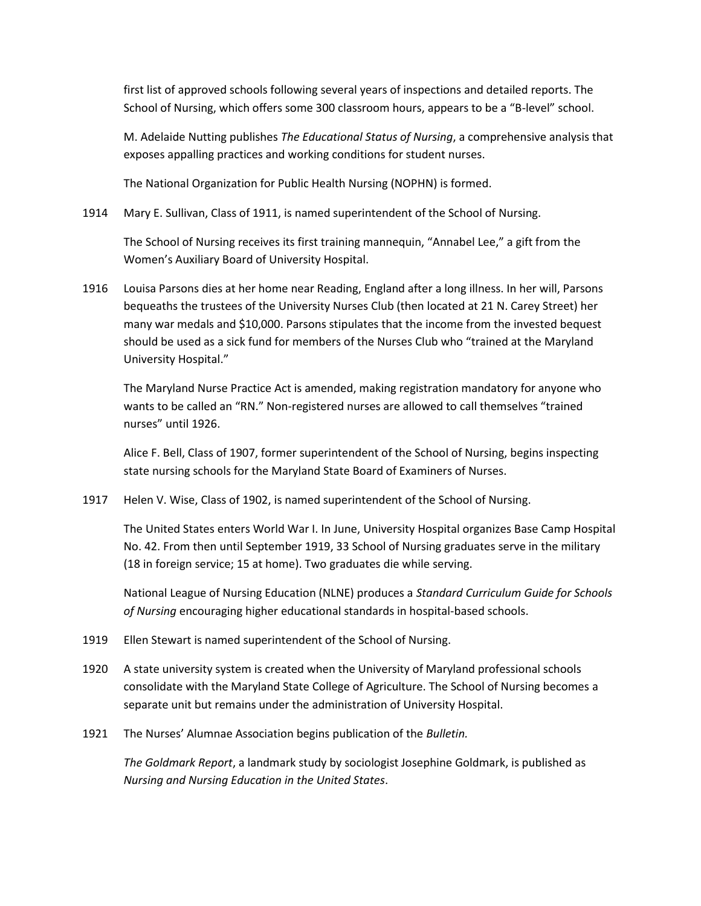first list of approved schools following several years of inspections and detailed reports. The School of Nursing, which offers some 300 classroom hours, appears to be a "B-level" school.

M. Adelaide Nutting publishes *The Educational Status of Nursing*, a comprehensive analysis that exposes appalling practices and working conditions for student nurses.

The National Organization for Public Health Nursing (NOPHN) is formed.

1914 Mary E. Sullivan, Class of 1911, is named superintendent of the School of Nursing.

The School of Nursing receives its first training mannequin, "Annabel Lee," a gift from the Women's Auxiliary Board of University Hospital.

1916 Louisa Parsons dies at her home near Reading, England after a long illness. In her will, Parsons bequeaths the trustees of the University Nurses Club (then located at 21 N. Carey Street) her many war medals and \$10,000. Parsons stipulates that the income from the invested bequest should be used as a sick fund for members of the Nurses Club who "trained at the Maryland University Hospital."

The Maryland Nurse Practice Act is amended, making registration mandatory for anyone who wants to be called an "RN." Non-registered nurses are allowed to call themselves "trained nurses" until 1926.

Alice F. Bell, Class of 1907, former superintendent of the School of Nursing, begins inspecting state nursing schools for the Maryland State Board of Examiners of Nurses.

1917 Helen V. Wise, Class of 1902, is named superintendent of the School of Nursing.

The United States enters World War I. In June, University Hospital organizes Base Camp Hospital No. 42. From then until September 1919, 33 School of Nursing graduates serve in the military (18 in foreign service; 15 at home). Two graduates die while serving.

National League of Nursing Education (NLNE) produces a *Standard Curriculum Guide for Schools of Nursing* encouraging higher educational standards in hospital‐based schools.

- 1919 Ellen Stewart is named superintendent of the School of Nursing.
- 1920 A state university system is created when the University of Maryland professional schools consolidate with the Maryland State College of Agriculture. The School of Nursing becomes a separate unit but remains under the administration of University Hospital.
- 1921 The Nurses' Alumnae Association begins publication of the *Bulletin.*

*The Goldmark Report*, a landmark study by sociologist Josephine Goldmark, is published as *Nursing and Nursing Education in the United States*.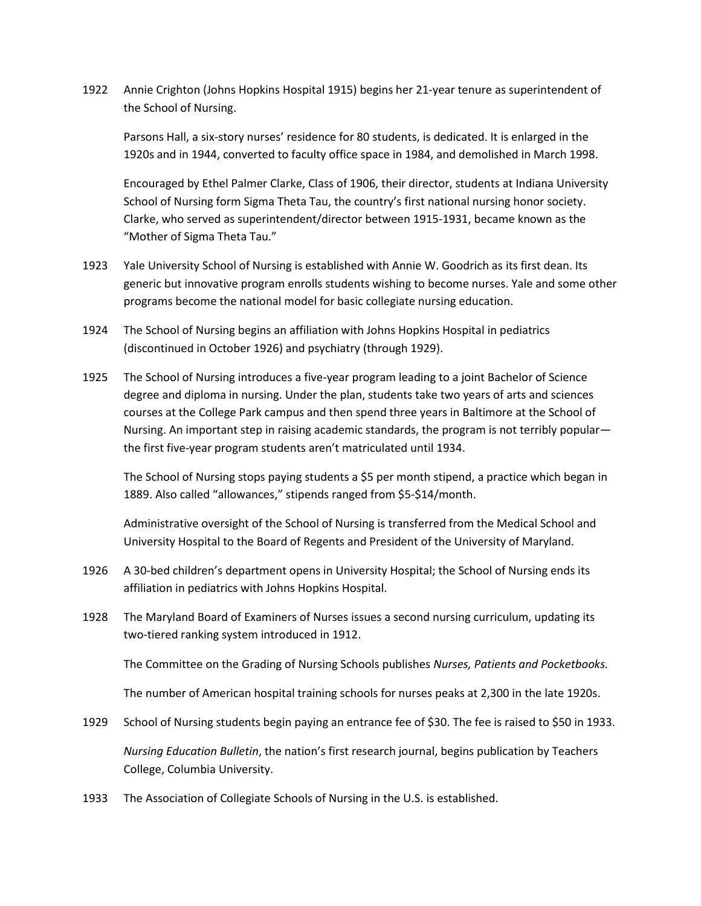1922 Annie Crighton (Johns Hopkins Hospital 1915) begins her 21‐year tenure as superintendent of the School of Nursing.

Parsons Hall, a six‐story nurses' residence for 80 students, is dedicated. It is enlarged in the 1920s and in 1944, converted to faculty office space in 1984, and demolished in March 1998.

Encouraged by Ethel Palmer Clarke, Class of 1906, their director, students at Indiana University School of Nursing form Sigma Theta Tau, the country's first national nursing honor society. Clarke, who served as superintendent/director between 1915‐1931, became known as the "Mother of Sigma Theta Tau."

- 1923 Yale University School of Nursing is established with Annie W. Goodrich as its first dean. Its generic but innovative program enrolls students wishing to become nurses. Yale and some other programs become the national model for basic collegiate nursing education.
- 1924 The School of Nursing begins an affiliation with Johns Hopkins Hospital in pediatrics (discontinued in October 1926) and psychiatry (through 1929).
- 1925 The School of Nursing introduces a five-year program leading to a joint Bachelor of Science degree and diploma in nursing. Under the plan, students take two years of arts and sciences courses at the College Park campus and then spend three years in Baltimore at the School of Nursing. An important step in raising academic standards, the program is not terribly popular the first five‐year program students aren't matriculated until 1934.

The School of Nursing stops paying students a \$5 per month stipend, a practice which began in 1889. Also called "allowances," stipends ranged from \$5‐\$14/month.

Administrative oversight of the School of Nursing is transferred from the Medical School and University Hospital to the Board of Regents and President of the University of Maryland.

- 1926 A 30‐bed children's department opens in University Hospital; the School of Nursing ends its affiliation in pediatrics with Johns Hopkins Hospital.
- 1928 The Maryland Board of Examiners of Nurses issues a second nursing curriculum, updating its two‐tiered ranking system introduced in 1912.

The Committee on the Grading of Nursing Schools publishes *Nurses, Patients and Pocketbooks.* 

The number of American hospital training schools for nurses peaks at 2,300 in the late 1920s.

- 1929 School of Nursing students begin paying an entrance fee of \$30. The fee is raised to \$50 in 1933. *Nursing Education Bulletin*, the nation's first research journal, begins publication by Teachers College, Columbia University.
- 1933 The Association of Collegiate Schools of Nursing in the U.S. is established.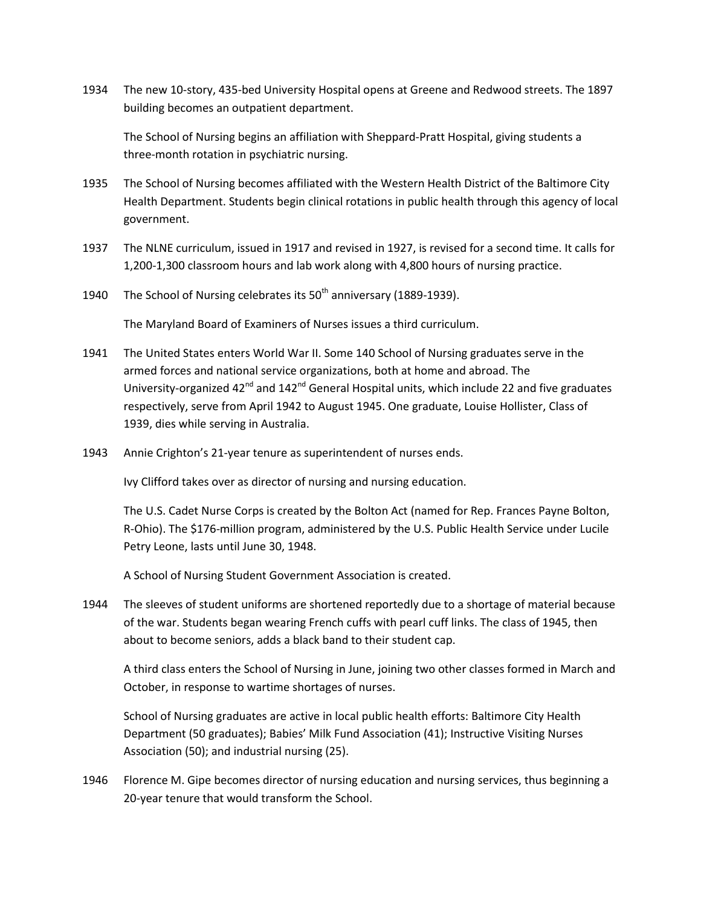1934 The new 10‐story, 435‐bed University Hospital opens at Greene and Redwood streets. The 1897 building becomes an outpatient department.

The School of Nursing begins an affiliation with Sheppard‐Pratt Hospital, giving students a three‐month rotation in psychiatric nursing.

- 1935 The School of Nursing becomes affiliated with the Western Health District of the Baltimore City Health Department. Students begin clinical rotations in public health through this agency of local government.
- 1937 The NLNE curriculum, issued in 1917 and revised in 1927, is revised for a second time. It calls for 1,200‐1,300 classroom hours and lab work along with 4,800 hours of nursing practice.
- 1940 The School of Nursing celebrates its  $50<sup>th</sup>$  anniversary (1889-1939).

The Maryland Board of Examiners of Nurses issues a third curriculum.

- 1941 The United States enters World War II. Some 140 School of Nursing graduates serve in the armed forces and national service organizations, both at home and abroad. The University-organized  $42^{nd}$  and  $142^{nd}$  General Hospital units, which include 22 and five graduates respectively, serve from April 1942 to August 1945. One graduate, Louise Hollister, Class of 1939, dies while serving in Australia.
- 1943 Annie Crighton's 21‐year tenure as superintendent of nurses ends.

Ivy Clifford takes over as director of nursing and nursing education.

The U.S. Cadet Nurse Corps is created by the Bolton Act (named for Rep. Frances Payne Bolton, R‐Ohio). The \$176-million program, administered by the U.S. Public Health Service under Lucile Petry Leone, lasts until June 30, 1948.

A School of Nursing Student Government Association is created.

1944 The sleeves of student uniforms are shortened reportedly due to a shortage of material because of the war. Students began wearing French cuffs with pearl cuff links. The class of 1945, then about to become seniors, adds a black band to their student cap.

A third class enters the School of Nursing in June, joining two other classes formed in March and October, in response to wartime shortages of nurses.

School of Nursing graduates are active in local public health efforts: Baltimore City Health Department (50 graduates); Babies' Milk Fund Association (41); Instructive Visiting Nurses Association (50); and industrial nursing (25).

1946 Florence M. Gipe becomes director of nursing education and nursing services, thus beginning a 20‐year tenure that would transform the School.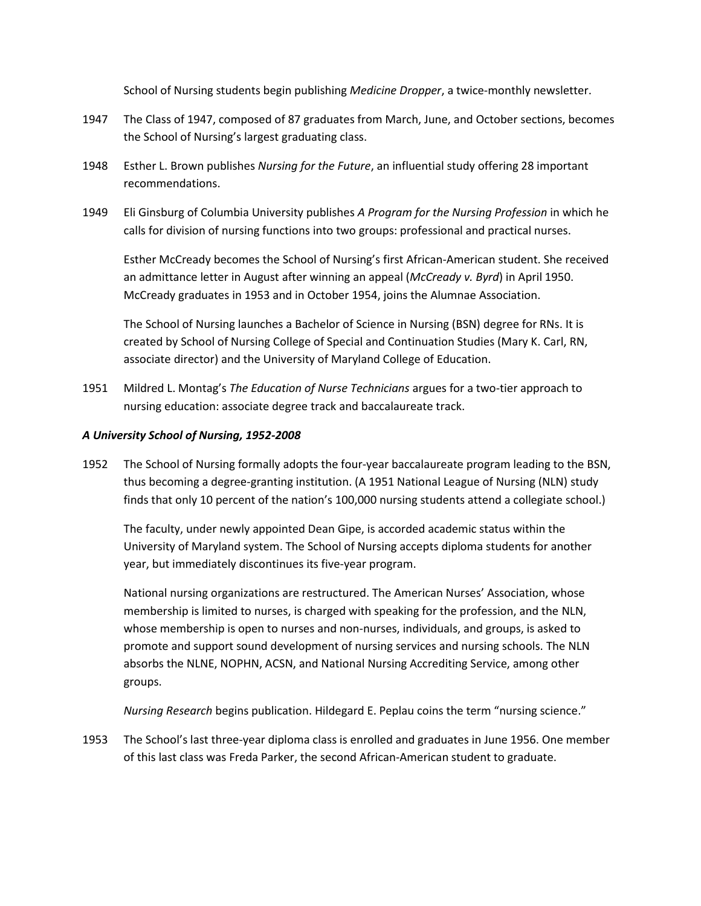School of Nursing students begin publishing *Medicine Dropper*, a twice‐monthly newsletter.

- 1947 The Class of 1947, composed of 87 graduates from March, June, and October sections, becomes the School of Nursing's largest graduating class.
- 1948 Esther L. Brown publishes *Nursing for the Future*, an influential study offering 28 important recommendations.
- 1949 Eli Ginsburg of Columbia University publishes *A Program for the Nursing Profession* in which he calls for division of nursing functions into two groups: professional and practical nurses.

Esther McCready becomes the School of Nursing's first African‐American student. She received an admittance letter in August after winning an appeal (*McCready v. Byrd*) in April 1950. McCready graduates in 1953 and in October 1954, joins the Alumnae Association.

The School of Nursing launches a Bachelor of Science in Nursing (BSN) degree for RNs. It is created by School of Nursing College of Special and Continuation Studies (Mary K. Carl, RN, associate director) and the University of Maryland College of Education.

1951 Mildred L. Montag's The Education of Nurse Technicians argues for a two-tier approach to nursing education: associate degree track and baccalaureate track.

## *A University School of Nursing, 1952-2008*

1952 The School of Nursing formally adopts the four‐year baccalaureate program leading to the BSN, thus becoming a degree‐granting institution. (A 1951 National League of Nursing (NLN) study finds that only 10 percent of the nation's 100,000 nursing students attend a collegiate school.)

The faculty, under newly appointed Dean Gipe, is accorded academic status within the University of Maryland system. The School of Nursing accepts diploma students for another year, but immediately discontinues its five‐year program.

National nursing organizations are restructured. The American Nurses' Association, whose membership is limited to nurses, is charged with speaking for the profession, and the NLN, whose membership is open to nurses and non-nurses, individuals, and groups, is asked to promote and support sound development of nursing services and nursing schools. The NLN absorbs the NLNE, NOPHN, ACSN, and National Nursing Accrediting Service, among other groups.

*Nursing Research* begins publication. Hildegard E. Peplau coins the term "nursing science."

1953 The School's last three‐year diploma class is enrolled and graduates in June 1956. One member of this last class was Freda Parker, the second African‐American student to graduate.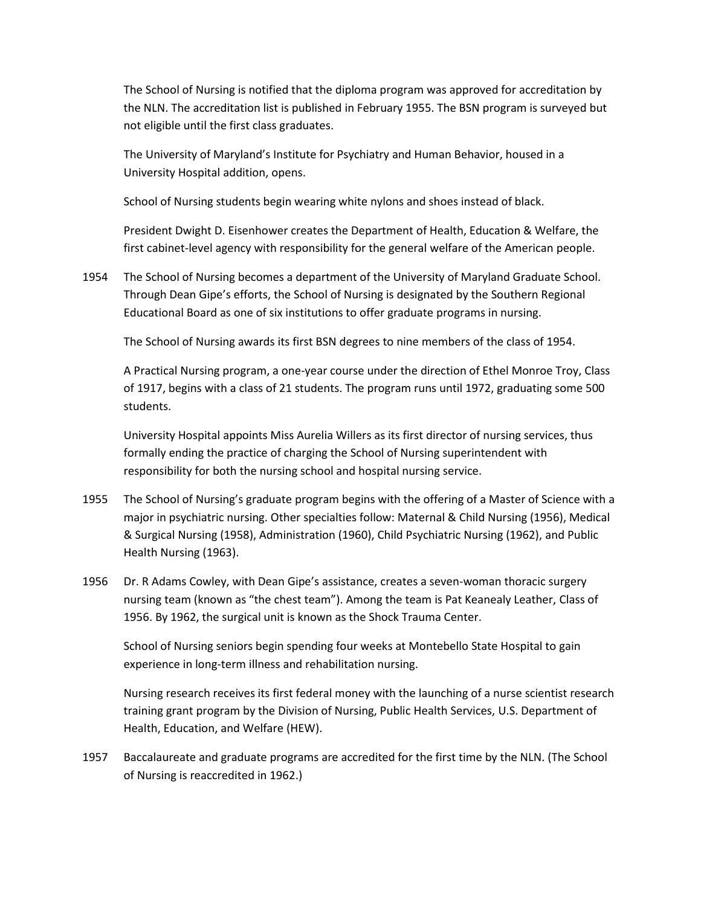The School of Nursing is notified that the diploma program was approved for accreditation by the NLN. The accreditation list is published in February 1955. The BSN program is surveyed but not eligible until the first class graduates.

The University of Maryland's Institute for Psychiatry and Human Behavior, housed in a University Hospital addition, opens.

School of Nursing students begin wearing white nylons and shoes instead of black.

President Dwight D. Eisenhower creates the Department of Health, Education & Welfare, the first cabinet-level agency with responsibility for the general welfare of the American people.

1954 The School of Nursing becomes a department of the University of Maryland Graduate School. Through Dean Gipe's efforts, the School of Nursing is designated by the Southern Regional Educational Board as one of six institutions to offer graduate programs in nursing.

The School of Nursing awards its first BSN degrees to nine members of the class of 1954.

A Practical Nursing program, a one‐year course under the direction of Ethel Monroe Troy, Class of 1917, begins with a class of 21 students. The program runs until 1972, graduating some 500 students.

University Hospital appoints Miss Aurelia Willers as its first director of nursing services, thus formally ending the practice of charging the School of Nursing superintendent with responsibility for both the nursing school and hospital nursing service.

- 1955 The School of Nursing's graduate program begins with the offering of a Master of Science with a major in psychiatric nursing. Other specialties follow: Maternal & Child Nursing (1956), Medical & Surgical Nursing (1958), Administration (1960), Child Psychiatric Nursing (1962), and Public Health Nursing (1963).
- 1956 Dr. R Adams Cowley, with Dean Gipe's assistance, creates a seven-woman thoracic surgery nursing team (known as "the chest team"). Among the team is Pat Keanealy Leather, Class of 1956. By 1962, the surgical unit is known as the Shock Trauma Center.

School of Nursing seniors begin spending four weeks at Montebello State Hospital to gain experience in long‐term illness and rehabilitation nursing.

Nursing research receives its first federal money with the launching of a nurse scientist research training grant program by the Division of Nursing, Public Health Services, U.S. Department of Health, Education, and Welfare (HEW).

1957 Baccalaureate and graduate programs are accredited for the first time by the NLN. (The School of Nursing is reaccredited in 1962.)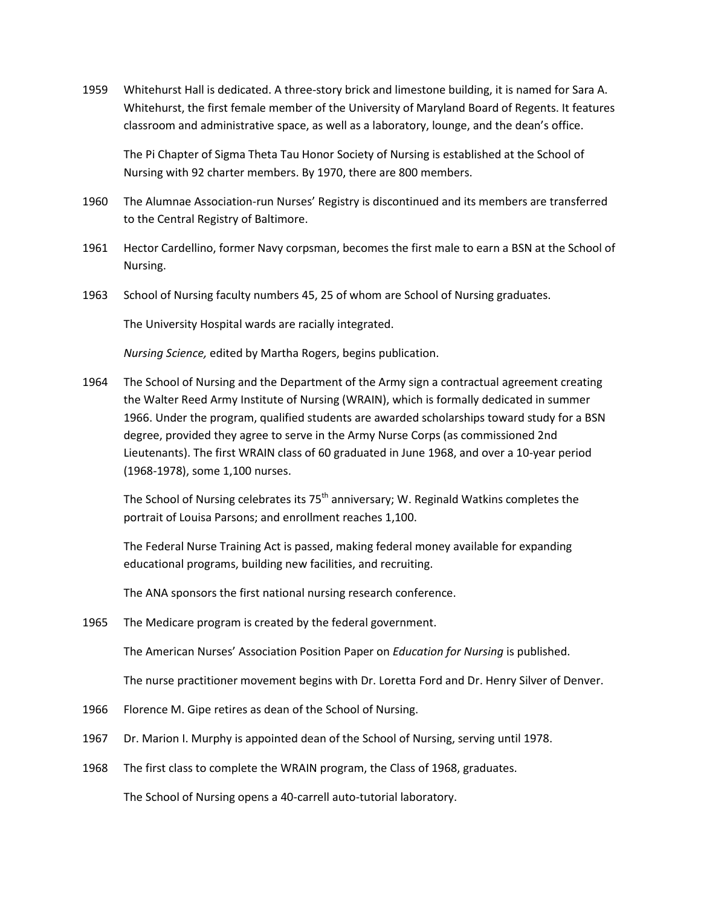1959 Whitehurst Hall is dedicated. A three‐story brick and limestone building, it is named for Sara A. Whitehurst, the first female member of the University of Maryland Board of Regents. It features classroom and administrative space, as well as a laboratory, lounge, and the dean's office.

The Pi Chapter of Sigma Theta Tau Honor Society of Nursing is established at the School of Nursing with 92 charter members. By 1970, there are 800 members.

- 1960 The Alumnae Association-run Nurses' Registry is discontinued and its members are transferred to the Central Registry of Baltimore.
- 1961 Hector Cardellino, former Navy corpsman, becomes the first male to earn a BSN at the School of Nursing.
- 1963 School of Nursing faculty numbers 45, 25 of whom are School of Nursing graduates.

The University Hospital wards are racially integrated.

*Nursing Science,* edited by Martha Rogers, begins publication.

1964 The School of Nursing and the Department of the Army sign a contractual agreement creating the Walter Reed Army Institute of Nursing (WRAIN), which is formally dedicated in summer 1966. Under the program, qualified students are awarded scholarships toward study for a BSN degree, provided they agree to serve in the Army Nurse Corps (as commissioned 2nd Lieutenants). The first WRAIN class of 60 graduated in June 1968, and over a 10-year period (1968‐1978), some 1,100 nurses.

The School of Nursing celebrates its 75<sup>th</sup> anniversary; W. Reginald Watkins completes the portrait of Louisa Parsons; and enrollment reaches 1,100.

The Federal Nurse Training Act is passed, making federal money available for expanding educational programs, building new facilities, and recruiting.

The ANA sponsors the first national nursing research conference.

1965 The Medicare program is created by the federal government.

The American Nurses' Association Position Paper on *Education for Nursing* is published.

The nurse practitioner movement begins with Dr. Loretta Ford and Dr. Henry Silver of Denver.

- 1966 Florence M. Gipe retires as dean of the School of Nursing.
- 1967 Dr. Marion I. Murphy is appointed dean of the School of Nursing, serving until 1978.
- 1968 The first class to complete the WRAIN program, the Class of 1968, graduates.

The School of Nursing opens a 40‐carrell auto‐tutorial laboratory.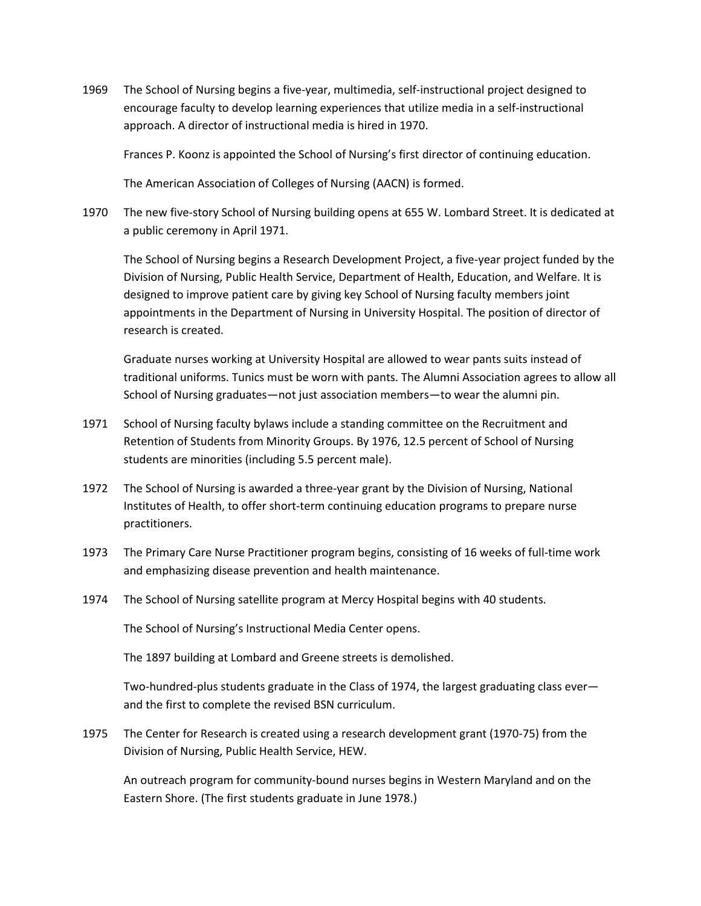1969 The School of Nursing begins a five‐year, multimedia, self‐instructional project designed to encourage faculty to develop learning experiences that utilize media in a self-instructional approach. A director of instructional media is hired in 1970.

Frances P. Koonz is appointed the School of Nursing's first director of continuing education.

The American Association of Colleges of Nursing (AACN) is formed.

1970 The new five-story School of Nursing building opens at 655 W. Lombard Street. It is dedicated at a public ceremony in April 1971.

The School of Nursing begins a Research Development Project, a five‐year project funded by the Division of Nursing, Public Health Service, Department of Health, Education, and Welfare. It is designed to improve patient care by giving key School of Nursing faculty members joint appointments in the Department of Nursing in University Hospital. The position of director of research is created.

Graduate nurses working at University Hospital are allowed to wear pants suits instead of traditional uniforms. Tunics must be worn with pants. The Alumni Association agrees to allow all School of Nursing graduates—not just association members—to wear the alumni pin.

- 1971 School of Nursing faculty bylaws include a standing committee on the Recruitment and Retention of Students from Minority Groups. By 1976, 12.5 percent of School of Nursing students are minorities (including 5.5 percent male).
- 1972 The School of Nursing is awarded a three-year grant by the Division of Nursing, National Institutes of Health, to offer short-term continuing education programs to prepare nurse practitioners.
- 1973 The Primary Care Nurse Practitioner program begins, consisting of 16 weeks of full-time work and emphasizing disease prevention and health maintenance.
- 1974 The School of Nursing satellite program at Mercy Hospital begins with 40 students.

The School of Nursing's Instructional Media Center opens.

The 1897 building at Lombard and Greene streets is demolished.

Two-hundred-plus students graduate in the Class of 1974, the largest graduating class ever and the first to complete the revised BSN curriculum.

1975 The Center for Research is created using a research development grant (1970‐75) from the Division of Nursing, Public Health Service, HEW.

An outreach program for community‐bound nurses begins in Western Maryland and on the Eastern Shore. (The first students graduate in June 1978.)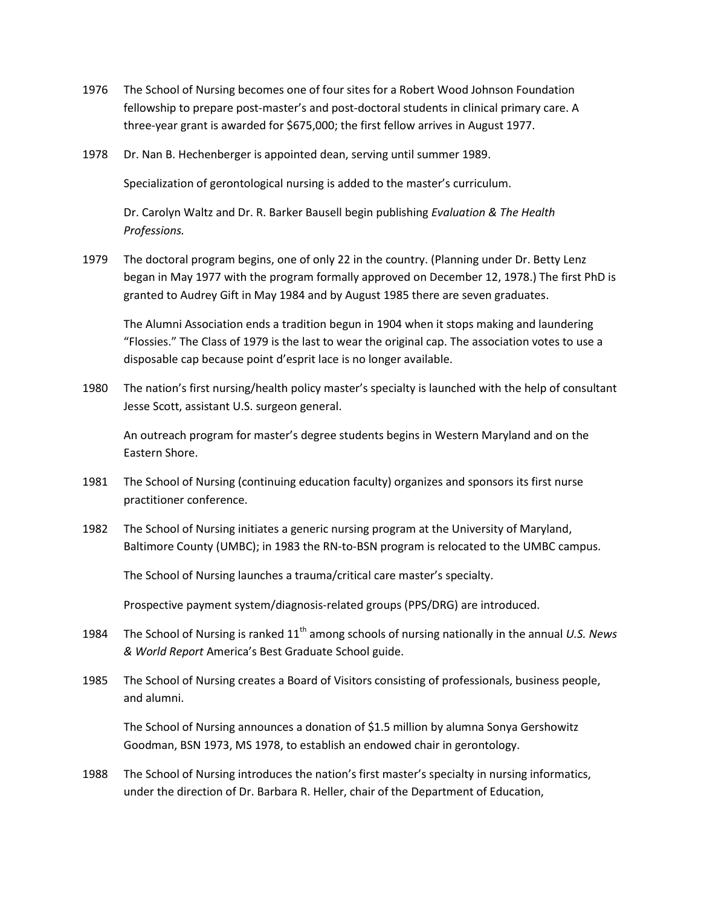- 1976 The School of Nursing becomes one of four sites for a Robert Wood Johnson Foundation fellowship to prepare post-master's and post-doctoral students in clinical primary care. A three‐year grant is awarded for \$675,000; the first fellow arrives in August 1977.
- 1978 Dr. Nan B. Hechenberger is appointed dean, serving until summer 1989.

Specialization of gerontological nursing is added to the master's curriculum.

Dr. Carolyn Waltz and Dr. R. Barker Bausell begin publishing *Evaluation & The Health Professions.* 

1979 The doctoral program begins, one of only 22 in the country. (Planning under Dr. Betty Lenz began in May 1977 with the program formally approved on December 12, 1978.) The first PhD is granted to Audrey Gift in May 1984 and by August 1985 there are seven graduates.

The Alumni Association ends a tradition begun in 1904 when it stops making and laundering "Flossies." The Class of 1979 is the last to wear the original cap. The association votes to use a disposable cap because point d'esprit lace is no longer available.

1980 The nation's first nursing/health policy master's specialty is launched with the help of consultant Jesse Scott, assistant U.S. surgeon general.

An outreach program for master's degree students begins in Western Maryland and on the Eastern Shore.

- 1981 The School of Nursing (continuing education faculty) organizes and sponsors its first nurse practitioner conference.
- 1982 The School of Nursing initiates a generic nursing program at the University of Maryland, Baltimore County (UMBC); in 1983 the RN-to-BSN program is relocated to the UMBC campus.

The School of Nursing launches a trauma/critical care master's specialty.

Prospective payment system/diagnosis‐related groups (PPS/DRG) are introduced.

- 1984 The School of Nursing is ranked 11th among schools of nursing nationally in the annual *U.S. News & World Report* America's Best Graduate School guide.
- 1985 The School of Nursing creates a Board of Visitors consisting of professionals, business people, and alumni.

The School of Nursing announces a donation of \$1.5 million by alumna Sonya Gershowitz Goodman, BSN 1973, MS 1978, to establish an endowed chair in gerontology.

1988 The School of Nursing introduces the nation's first master's specialty in nursing informatics, under the direction of Dr. Barbara R. Heller, chair of the Department of Education,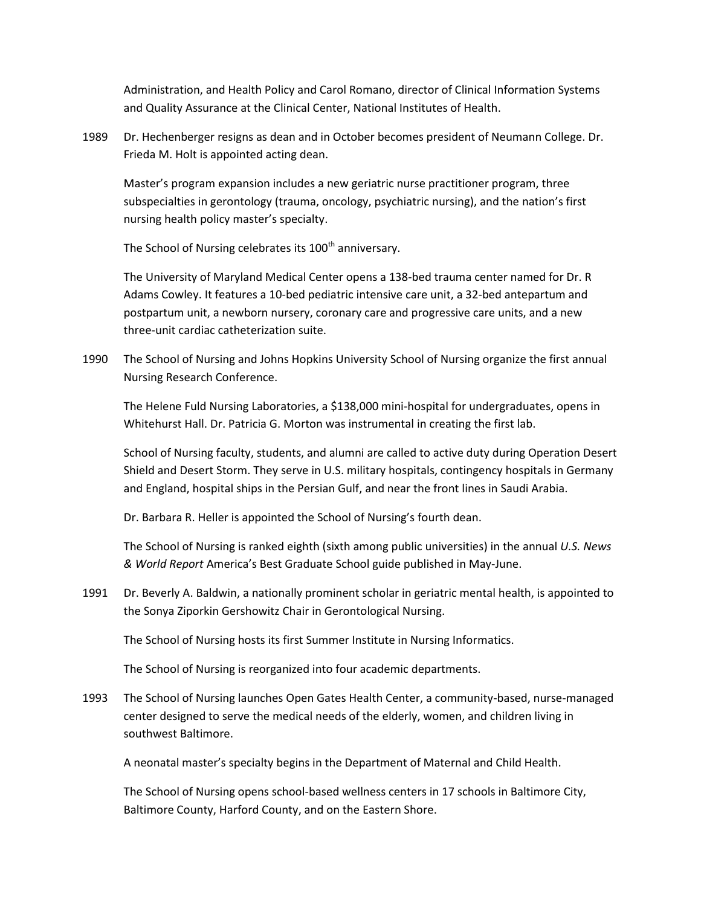Administration, and Health Policy and Carol Romano, director of Clinical Information Systems and Quality Assurance at the Clinical Center, National Institutes of Health.

1989 Dr. Hechenberger resigns as dean and in October becomes president of Neumann College. Dr. Frieda M. Holt is appointed acting dean.

Master's program expansion includes a new geriatric nurse practitioner program, three subspecialties in gerontology (trauma, oncology, psychiatric nursing), and the nation's first nursing health policy master's specialty.

The School of Nursing celebrates its 100<sup>th</sup> anniversary.

The University of Maryland Medical Center opens a 138‐bed trauma center named for Dr. R Adams Cowley. It features a 10‐bed pediatric intensive care unit, a 32‐bed antepartum and postpartum unit, a newborn nursery, coronary care and progressive care units, and a new three‐unit cardiac catheterization suite.

1990 The School of Nursing and Johns Hopkins University School of Nursing organize the first annual Nursing Research Conference.

The Helene Fuld Nursing Laboratories, a \$138,000 mini‐hospital for undergraduates, opens in Whitehurst Hall. Dr. Patricia G. Morton was instrumental in creating the first lab.

School of Nursing faculty, students, and alumni are called to active duty during Operation Desert Shield and Desert Storm. They serve in U.S. military hospitals, contingency hospitals in Germany and England, hospital ships in the Persian Gulf, and near the front lines in Saudi Arabia.

Dr. Barbara R. Heller is appointed the School of Nursing's fourth dean.

The School of Nursing is ranked eighth (sixth among public universities) in the annual *U.S. News & World Report* America's Best Graduate School guide published in May‐June.

1991 Dr. Beverly A. Baldwin, a nationally prominent scholar in geriatric mental health, is appointed to the Sonya Ziporkin Gershowitz Chair in Gerontological Nursing.

The School of Nursing hosts its first Summer Institute in Nursing Informatics.

The School of Nursing is reorganized into four academic departments.

1993 The School of Nursing launches Open Gates Health Center, a community-based, nurse-managed center designed to serve the medical needs of the elderly, women, and children living in southwest Baltimore.

A neonatal master's specialty begins in the Department of Maternal and Child Health.

The School of Nursing opens school‐based wellness centers in 17 schools in Baltimore City, Baltimore County, Harford County, and on the Eastern Shore.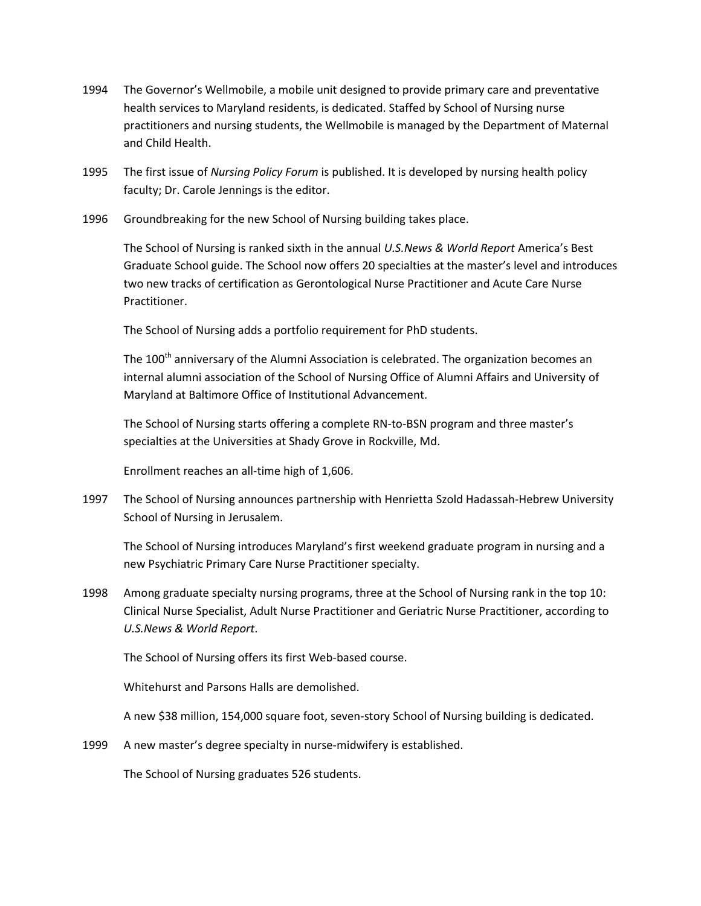- 1994 The Governor's Wellmobile, a mobile unit designed to provide primary care and preventative health services to Maryland residents, is dedicated. Staffed by School of Nursing nurse practitioners and nursing students, the Wellmobile is managed by the Department of Maternal and Child Health.
- 1995 The first issue of *Nursing Policy Forum* is published. It is developed by nursing health policy faculty; Dr. Carole Jennings is the editor.
- 1996 Groundbreaking for the new School of Nursing building takes place.

The School of Nursing is ranked sixth in the annual *U.S.News & World Report* America's Best Graduate School guide. The School now offers 20 specialties at the master's level and introduces two new tracks of certification as Gerontological Nurse Practitioner and Acute Care Nurse Practitioner.

The School of Nursing adds a portfolio requirement for PhD students.

The  $100<sup>th</sup>$  anniversary of the Alumni Association is celebrated. The organization becomes an internal alumni association of the School of Nursing Office of Alumni Affairs and University of Maryland at Baltimore Office of Institutional Advancement.

The School of Nursing starts offering a complete RN-to-BSN program and three master's specialties at the Universities at Shady Grove in Rockville, Md.

Enrollment reaches an all‐time high of 1,606.

1997 The School of Nursing announces partnership with Henrietta Szold Hadassah-Hebrew University School of Nursing in Jerusalem.

The School of Nursing introduces Maryland's first weekend graduate program in nursing and a new Psychiatric Primary Care Nurse Practitioner specialty.

1998 Among graduate specialty nursing programs, three at the School of Nursing rank in the top 10: Clinical Nurse Specialist, Adult Nurse Practitioner and Geriatric Nurse Practitioner, according to *U.S.News & World Report*.

The School of Nursing offers its first Web‐based course.

Whitehurst and Parsons Halls are demolished.

A new \$38 million, 154,000 square foot, seven-story School of Nursing building is dedicated.

1999 A new master's degree specialty in nurse-midwifery is established.

The School of Nursing graduates 526 students.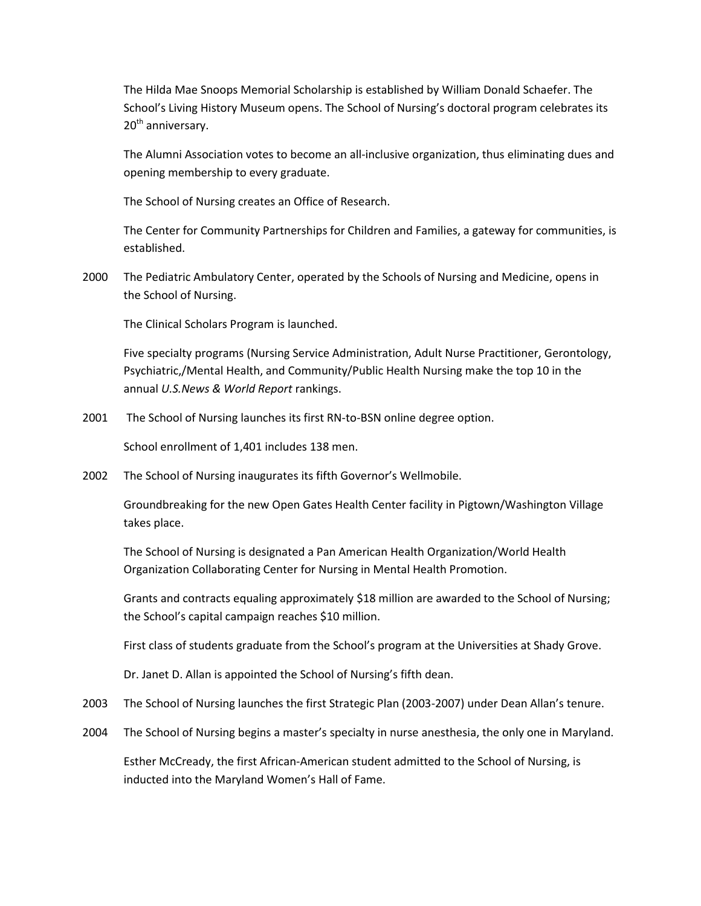The Hilda Mae Snoops Memorial Scholarship is established by William Donald Schaefer. The School's Living History Museum opens. The School of Nursing's doctoral program celebrates its 20<sup>th</sup> anniversary.

The Alumni Association votes to become an all‐inclusive organization, thus eliminating dues and opening membership to every graduate.

The School of Nursing creates an Office of Research.

The Center for Community Partnerships for Children and Families, a gateway for communities, is established.

2000 The Pediatric Ambulatory Center, operated by the Schools of Nursing and Medicine, opens in the School of Nursing.

The Clinical Scholars Program is launched.

Five specialty programs (Nursing Service Administration, Adult Nurse Practitioner, Gerontology, Psychiatric,/Mental Health, and Community/Public Health Nursing make the top 10 in the annual *U.S.News & World Report* rankings.

2001 The School of Nursing launches its first RN-to-BSN online degree option.

School enrollment of 1,401 includes 138 men.

2002 The School of Nursing inaugurates its fifth Governor's Wellmobile.

Groundbreaking for the new Open Gates Health Center facility in Pigtown/Washington Village takes place.

The School of Nursing is designated a Pan American Health Organization/World Health Organization Collaborating Center for Nursing in Mental Health Promotion.

Grants and contracts equaling approximately \$18 million are awarded to the School of Nursing; the School's capital campaign reaches \$10 million.

First class of students graduate from the School's program at the Universities at Shady Grove.

Dr. Janet D. Allan is appointed the School of Nursing's fifth dean.

- 2003 The School of Nursing launches the first Strategic Plan (2003-2007) under Dean Allan's tenure.
- 2004 The School of Nursing begins a master's specialty in nurse anesthesia, the only one in Maryland.

Esther McCready, the first African‐American student admitted to the School of Nursing, is inducted into the Maryland Women's Hall of Fame.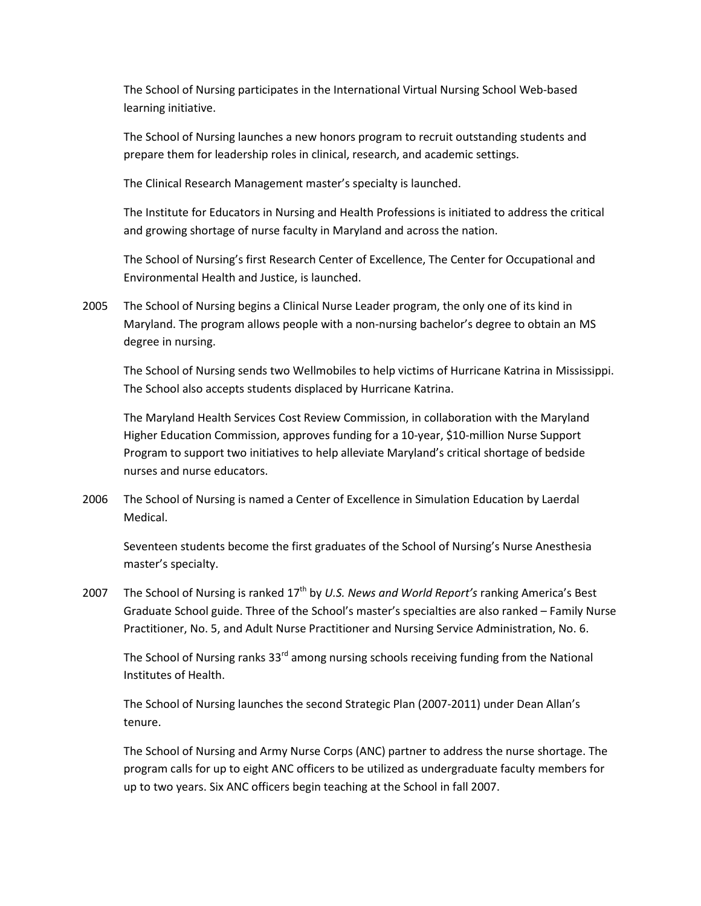The School of Nursing participates in the International Virtual Nursing School Web‐based learning initiative.

The School of Nursing launches a new honors program to recruit outstanding students and prepare them for leadership roles in clinical, research, and academic settings.

The Clinical Research Management master's specialty is launched.

The Institute for Educators in Nursing and Health Professions is initiated to address the critical and growing shortage of nurse faculty in Maryland and across the nation.

The School of Nursing's first Research Center of Excellence, The Center for Occupational and Environmental Health and Justice, is launched.

2005 The School of Nursing begins a Clinical Nurse Leader program, the only one of its kind in Maryland. The program allows people with a non‐nursing bachelor's degree to obtain an MS degree in nursing.

The School of Nursing sends two Wellmobiles to help victims of Hurricane Katrina in Mississippi. The School also accepts students displaced by Hurricane Katrina.

The Maryland Health Services Cost Review Commission, in collaboration with the Maryland Higher Education Commission, approves funding for a 10-year, \$10-million Nurse Support Program to support two initiatives to help alleviate Maryland's critical shortage of bedside nurses and nurse educators.

2006 The School of Nursing is named a Center of Excellence in Simulation Education by Laerdal Medical.

Seventeen students become the first graduates of the School of Nursing's Nurse Anesthesia master's specialty.

2007 The School of Nursing is ranked 17th by *U.S. News and World Report's* ranking America's Best Graduate School guide. Three of the School's master's specialties are also ranked – Family Nurse Practitioner, No. 5, and Adult Nurse Practitioner and Nursing Service Administration, No. 6.

The School of Nursing ranks 33<sup>rd</sup> among nursing schools receiving funding from the National Institutes of Health.

The School of Nursing launches the second Strategic Plan (2007-2011) under Dean Allan's tenure.

The School of Nursing and Army Nurse Corps (ANC) partner to address the nurse shortage. The program calls for up to eight ANC officers to be utilized as undergraduate faculty members for up to two years. Six ANC officers begin teaching at the School in fall 2007.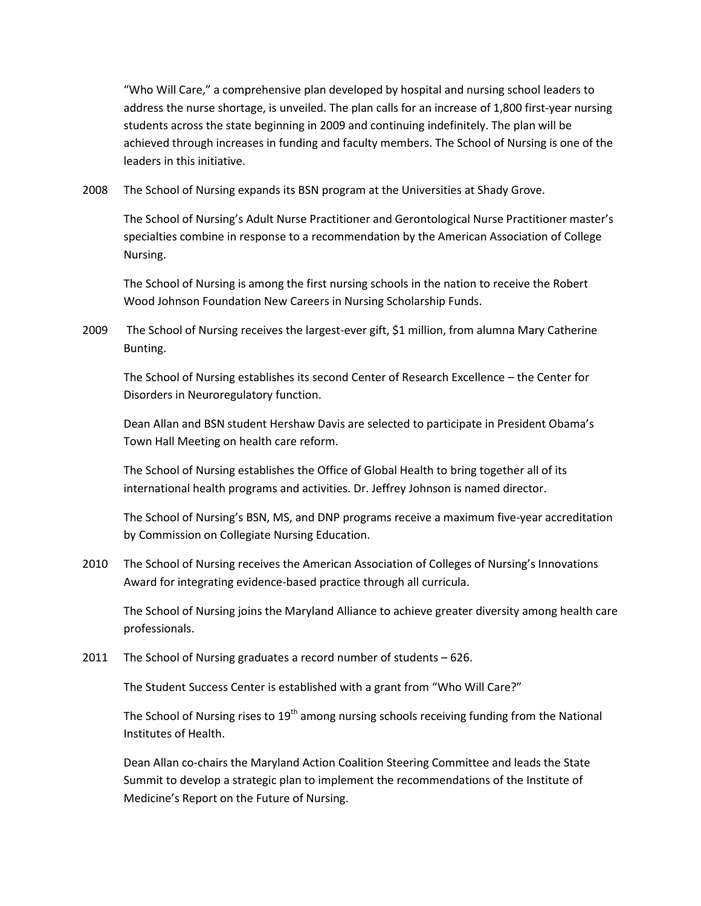"Who Will Care," a comprehensive plan developed by hospital and nursing school leaders to address the nurse shortage, is unveiled. The plan calls for an increase of 1,800 first-year nursing students across the state beginning in 2009 and continuing indefinitely. The plan will be achieved through increases in funding and faculty members. The School of Nursing is one of the leaders in this initiative.

2008 The School of Nursing expands its BSN program at the Universities at Shady Grove.

The School of Nursing's Adult Nurse Practitioner and Gerontological Nurse Practitioner master's specialties combine in response to a recommendation by the American Association of College Nursing.

The School of Nursing is among the first nursing schools in the nation to receive the Robert Wood Johnson Foundation New Careers in Nursing Scholarship Funds.

2009 The School of Nursing receives the largest-ever gift, \$1 million, from alumna Mary Catherine Bunting.

The School of Nursing establishes its second Center of Research Excellence – the Center for Disorders in Neuroregulatory function.

Dean Allan and BSN student Hershaw Davis are selected to participate in President Obama's Town Hall Meeting on health care reform.

The School of Nursing establishes the Office of Global Health to bring together all of its international health programs and activities. Dr. Jeffrey Johnson is named director.

The School of Nursing's BSN, MS, and DNP programs receive a maximum five-year accreditation by Commission on Collegiate Nursing Education.

2010 The School of Nursing receives the American Association of Colleges of Nursing's Innovations Award for integrating evidence-based practice through all curricula.

The School of Nursing joins the Maryland Alliance to achieve greater diversity among health care professionals.

2011 The School of Nursing graduates a record number of students – 626.

The Student Success Center is established with a grant from "Who Will Care?"

The School of Nursing rises to  $19<sup>th</sup>$  among nursing schools receiving funding from the National Institutes of Health.

Dean Allan co-chairs the Maryland Action Coalition Steering Committee and leads the State Summit to develop a strategic plan to implement the recommendations of the Institute of Medicine's Report on the Future of Nursing.